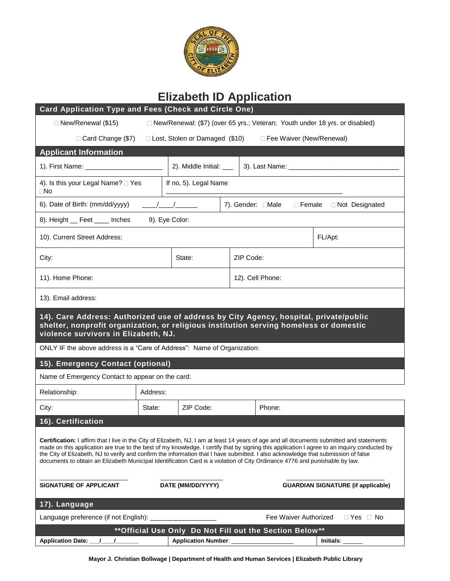

## **Elizabeth ID Application**

| Card Application Type and Fees (Check and Circle One)                                                                                                                                                                                                                                                                                                                                                                                                                                                                                                           |                                                                   |                         |           |                  |         |                                           |  |
|-----------------------------------------------------------------------------------------------------------------------------------------------------------------------------------------------------------------------------------------------------------------------------------------------------------------------------------------------------------------------------------------------------------------------------------------------------------------------------------------------------------------------------------------------------------------|-------------------------------------------------------------------|-------------------------|-----------|------------------|---------|-------------------------------------------|--|
| □ New/Renewal (\$15)<br>□ New/Renewal: (\$7) (over 65 yrs.; Veteran; Youth under 18 yrs. or disabled)                                                                                                                                                                                                                                                                                                                                                                                                                                                           |                                                                   |                         |           |                  |         |                                           |  |
| □ Card Change (\$7)<br>□ Lost, Stolen or Damaged (\$10)<br>□ Fee Waiver (New/Renewal)                                                                                                                                                                                                                                                                                                                                                                                                                                                                           |                                                                   |                         |           |                  |         |                                           |  |
| <b>Applicant Information</b>                                                                                                                                                                                                                                                                                                                                                                                                                                                                                                                                    |                                                                   |                         |           |                  |         |                                           |  |
|                                                                                                                                                                                                                                                                                                                                                                                                                                                                                                                                                                 |                                                                   | 2). Middle Initial: ___ |           |                  |         |                                           |  |
| 4). Is this your Legal Name? DYes<br>$\square$ No                                                                                                                                                                                                                                                                                                                                                                                                                                                                                                               |                                                                   | If no, 5). Legal Name   |           |                  |         |                                           |  |
| 6). Date of Birth: (mm/dd/yyyy)                                                                                                                                                                                                                                                                                                                                                                                                                                                                                                                                 | $\frac{1}{\sqrt{2}}$<br>7). Gender: Male<br>Female Not Designated |                         |           |                  |         |                                           |  |
| 8). Height Feet ____ Inches 9). Eye Color:                                                                                                                                                                                                                                                                                                                                                                                                                                                                                                                      |                                                                   |                         |           |                  |         |                                           |  |
| 10). Current Street Address:                                                                                                                                                                                                                                                                                                                                                                                                                                                                                                                                    |                                                                   |                         |           |                  | FL/Apt: |                                           |  |
| City:                                                                                                                                                                                                                                                                                                                                                                                                                                                                                                                                                           | State:                                                            |                         | ZIP Code: |                  |         |                                           |  |
| 11). Home Phone:                                                                                                                                                                                                                                                                                                                                                                                                                                                                                                                                                |                                                                   |                         |           | 12). Cell Phone: |         |                                           |  |
| 13). Email address:                                                                                                                                                                                                                                                                                                                                                                                                                                                                                                                                             |                                                                   |                         |           |                  |         |                                           |  |
| 14). Care Address: Authorized use of address by City Agency, hospital, private/public<br>shelter, nonprofit organization, or religious institution serving homeless or domestic<br>violence survivors in Elizabeth, NJ.                                                                                                                                                                                                                                                                                                                                         |                                                                   |                         |           |                  |         |                                           |  |
| ONLY IF the above address is a "Care of Address": Name of Organization:                                                                                                                                                                                                                                                                                                                                                                                                                                                                                         |                                                                   |                         |           |                  |         |                                           |  |
| 15). Emergency Contact (optional)                                                                                                                                                                                                                                                                                                                                                                                                                                                                                                                               |                                                                   |                         |           |                  |         |                                           |  |
| Name of Emergency Contact to appear on the card:                                                                                                                                                                                                                                                                                                                                                                                                                                                                                                                |                                                                   |                         |           |                  |         |                                           |  |
| Relationship:                                                                                                                                                                                                                                                                                                                                                                                                                                                                                                                                                   | Address:                                                          |                         |           |                  |         |                                           |  |
| City:                                                                                                                                                                                                                                                                                                                                                                                                                                                                                                                                                           | State:                                                            | ZIP Code:               |           | Phone:           |         |                                           |  |
| 16). Certification                                                                                                                                                                                                                                                                                                                                                                                                                                                                                                                                              |                                                                   |                         |           |                  |         |                                           |  |
| Certification: I affirm that I live in the City of Elizabeth, NJ, I am at least 14 years of age and all documents submitted and statements<br>made on this application are true to the best of my knowledge. I certify that by signing this application I agree to an inquiry conducted by<br>the City of Elizabeth, NJ to verify and confirm the information that I have submitted. I also acknowledge that submission of false<br>documents to obtain an Elizabeth Municipal Identification Card is a violation of City Ordinance 4776 and punishable by law. |                                                                   |                         |           |                  |         |                                           |  |
| <b>SIGNATURE OF APPLICANT</b>                                                                                                                                                                                                                                                                                                                                                                                                                                                                                                                                   |                                                                   | DATE (MM/DD/YYYY)       |           |                  |         | <b>GUARDIAN SIGNATURE (if applicable)</b> |  |
| 17). Language                                                                                                                                                                                                                                                                                                                                                                                                                                                                                                                                                   |                                                                   |                         |           |                  |         |                                           |  |
| Language preference (if not English): ______________________<br>Fee Waiver Authorized $\Box$ Yes $\Box$ No                                                                                                                                                                                                                                                                                                                                                                                                                                                      |                                                                   |                         |           |                  |         |                                           |  |
| ** Official Use Only Do Not Fill out the Section Below**<br>Application Date: 11 1                                                                                                                                                                                                                                                                                                                                                                                                                                                                              |                                                                   |                         |           |                  |         |                                           |  |
|                                                                                                                                                                                                                                                                                                                                                                                                                                                                                                                                                                 |                                                                   |                         |           |                  |         | Initials:                                 |  |